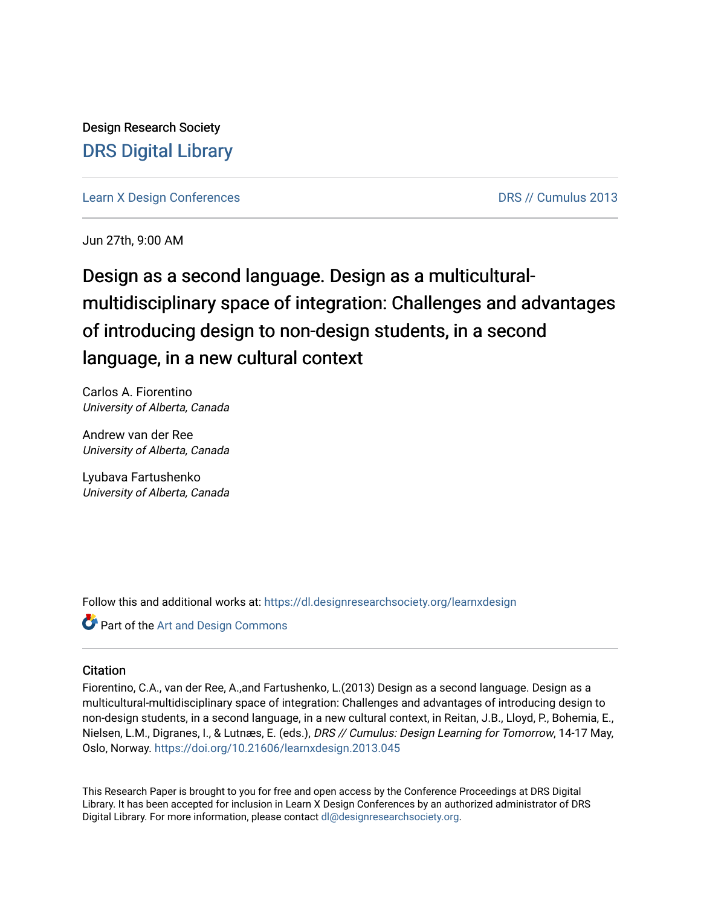Design Research Society [DRS Digital Library](https://dl.designresearchsociety.org/)

[Learn X Design Conferences](https://dl.designresearchsociety.org/learnxdesign) **DRS // Cumulus 2013** 

Jun 27th, 9:00 AM

Design as a second language. Design as a multiculturalmultidisciplinary space of integration: Challenges and advantages of introducing design to non-design students, in a second language, in a new cultural context

Carlos A. Fiorentino University of Alberta, Canada

Andrew van der Ree University of Alberta, Canada

Lyubava Fartushenko University of Alberta, Canada

Follow this and additional works at: [https://dl.designresearchsociety.org/learnxdesign](https://dl.designresearchsociety.org/learnxdesign?utm_source=dl.designresearchsociety.org%2Flearnxdesign%2Flearnxdesign2013%2Fresearchpapers%2F45&utm_medium=PDF&utm_campaign=PDFCoverPages)

Part of the [Art and Design Commons](http://network.bepress.com/hgg/discipline/1049?utm_source=dl.designresearchsociety.org%2Flearnxdesign%2Flearnxdesign2013%2Fresearchpapers%2F45&utm_medium=PDF&utm_campaign=PDFCoverPages)

### **Citation**

Fiorentino, C.A., van der Ree, A.,and Fartushenko, L.(2013) Design as a second language. Design as a multicultural-multidisciplinary space of integration: Challenges and advantages of introducing design to non-design students, in a second language, in a new cultural context, in Reitan, J.B., Lloyd, P., Bohemia, E., Nielsen, L.M., Digranes, I., & Lutnæs, E. (eds.), DRS // Cumulus: Design Learning for Tomorrow, 14-17 May, Oslo, Norway.<https://doi.org/10.21606/learnxdesign.2013.045>

This Research Paper is brought to you for free and open access by the Conference Proceedings at DRS Digital Library. It has been accepted for inclusion in Learn X Design Conferences by an authorized administrator of DRS Digital Library. For more information, please contact [dl@designresearchsociety.org](mailto:dl@designresearchsociety.org).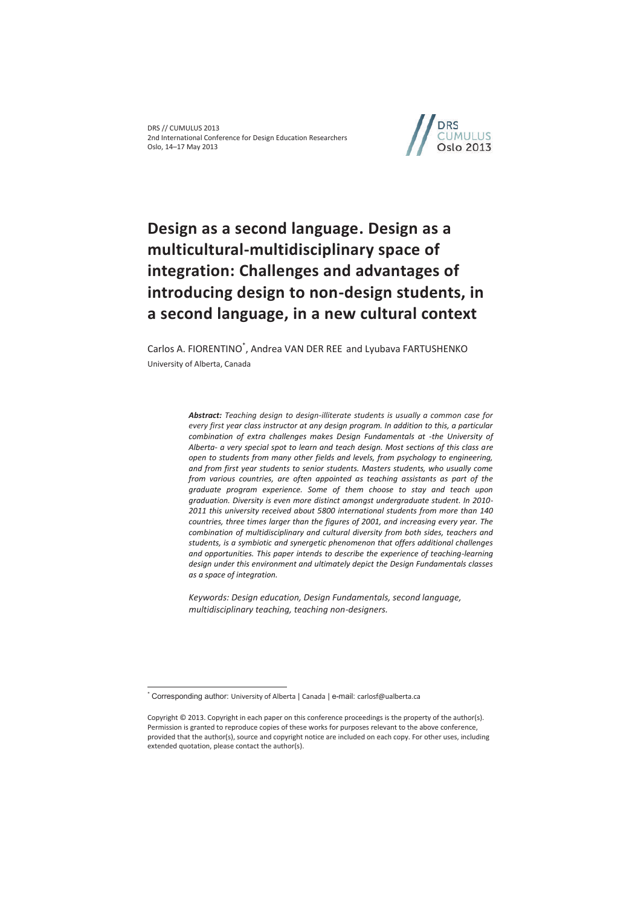

# **Design as a second language. Design as a multicultural-multidisciplinary space of integration: Challenges and advantages of introducing design to non-design students, in a second language, in a new cultural context**

Carlos A. FIORENTINO<sup>\*</sup>, Andrea VAN DER REE and Lyubava FARTUSHENKO University of Alberta, Canada

> *Abstract: Teaching design to design-illiterate students is usually a common case for every first year class instructor at any design program. In addition to this, a particular combination of extra challenges makes Design Fundamentals at -the University of Alberta- a very special spot to learn and teach design. Most sections of this class are open to students from many other fields and levels, from psychology to engineering, and from first year students to senior students. Masters students, who usually come from various countries, are often appointed as teaching assistants as part of the graduate program experience. Some of them choose to stay and teach upon graduation. Diversity is even more distinct amongst undergraduate student. In 2010- 2011 this university received about 5800 international students from more than 140 countries, three times larger than the figures of 2001, and increasing every year. The combination of multidisciplinary and cultural diversity from both sides, teachers and students, is a symbiotic and synergetic phenomenon that offers additional challenges*  and opportunities. This paper intends to describe the experience of teaching-learning *design under this environment and ultimately depict the Design Fundamentals classes as a space of integration.*

*Keywords: Design education, Design Fundamentals, second language, multidisciplinary teaching, teaching non-designers.* 

 $\overline{a}$ 

<sup>\*</sup> Corresponding author: University of Alberta | Canada | e-mail: carlosf@ualberta.ca

Copyright © 2013. Copyright in each paper on this conference proceedings is the property of the author(s). Permission is granted to reproduce copies of these works for purposes relevant to the above conference, provided that the author(s), source and copyright notice are included on each copy. For other uses, including extended quotation, please contact the author(s).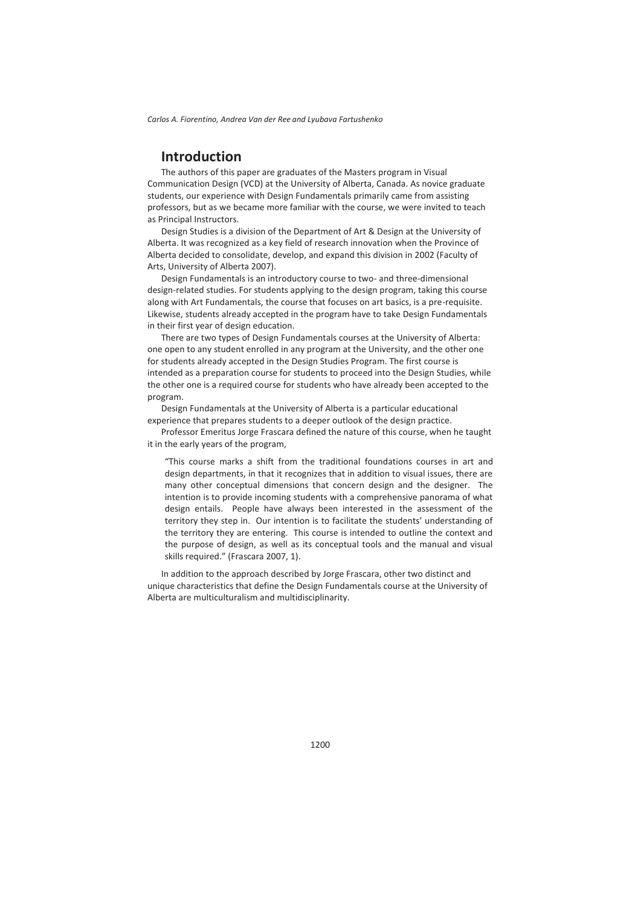### **Introduction**

The authors of this paper are graduates of the Masters program in Visual Communication Design (VCD) at the University of Alberta, Canada. As novice graduate students, our experience with Design Fundamentals primarily came from assisting professors, but as we became more familiar with the course, we were invited to teach as Principal Instructors.

Design Studies is a division of the Department of Art & Design at the University of Alberta. It was recognized as a key field of research innovation when the Province of Alberta decided to consolidate, develop, and expand this division in 2002 (Faculty of Arts, University of Alberta 2007).

Design Fundamentals is an introductory course to two- and three-dimensional design-related studies. For students applying to the design program, taking this course along with Art Fundamentals, the course that focuses on art basics, is a pre-requisite. Likewise, students already accepted in the program have to take Design Fundamentals in their first year of design education.

There are two types of Design Fundamentals courses at the University of Alberta: one open to any student enrolled in any program at the University, and the other one for students already accepted in the Design Studies Program. The first course is intended as a preparation course for students to proceed into the Design Studies, while the other one is a required course for students who have already been accepted to the program.

Design Fundamentals at the University of Alberta is a particular educational experience that prepares students to a deeper outlook of the design practice.

Professor Emeritus Jorge Frascara defined the nature of this course, when he taught it in the early years of the program,

"This course marks a shift from the traditional foundations courses in art and design departments, in that it recognizes that in addition to visual issues, there are many other conceptual dimensions that concern design and the designer. The intention is to provide incoming students with a comprehensive panorama of what design entails. People have always been interested in the assessment of the territory they step in. Our intention is to facilitate the students' understanding of the territory they are entering. This course is intended to outline the context and the purpose of design, as well as its conceptual tools and the manual and visual skills required." (Frascara 2007, 1).

In addition to the approach described by Jorge Frascara, other two distinct and unique characteristics that define the Design Fundamentals course at the University of Alberta are multiculturalism and multidisciplinarity.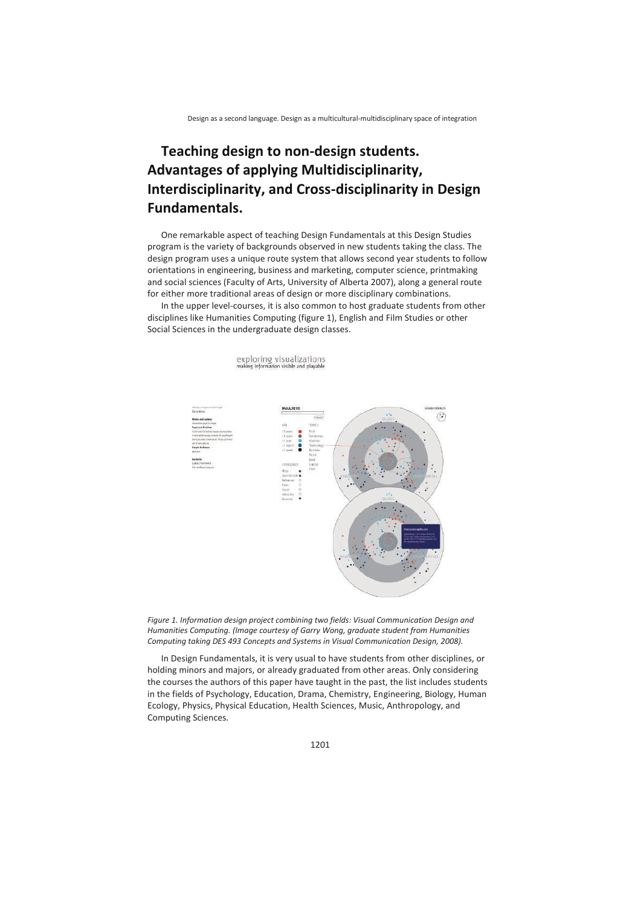# **Teaching design to non-design students. Advantages of applying Multidisciplinarity, Interdisciplinarity, and Cross-disciplinarity in Design Fundamentals.**

One remarkable aspect of teaching Design Fundamentals at this Design Studies program is the variety of backgrounds observed in new students taking the class. The design program uses a unique route system that allows second year students to follow orientations in engineering, business and marketing, computer science, printmaking and social sciences (Faculty of Arts, University of Alberta 2007), along a general route for either more traditional areas of design or more disciplinary combinations.

In the upper level-courses, it is also common to host graduate students from other disciplines like Humanities Computing (figure 1), English and Film Studies or other Social Sciences in the undergraduate design classes.

exploring visualizations

ne Information visible and playable  $\bigodot$ 



In Design Fundamentals, it is very usual to have students from other disciplines, or holding minors and majors, or already graduated from other areas. Only considering the courses the authors of this paper have taught in the past, the list includes students in the fields of Psychology, Education, Drama, Chemistry, Engineering, Biology, Human Ecology, Physics, Physical Education, Health Sciences, Music, Anthropology, and Computing Sciences.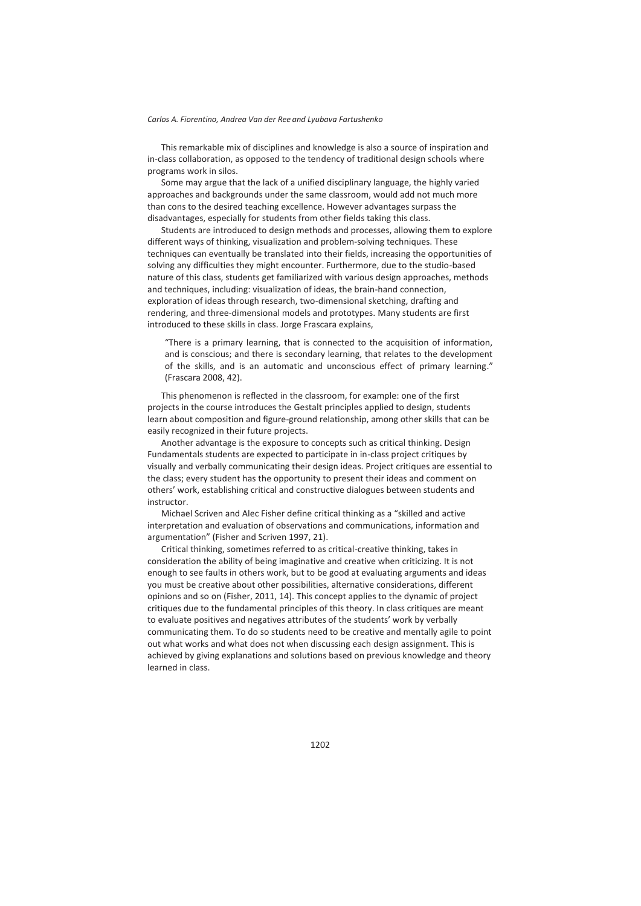This remarkable mix of disciplines and knowledge is also a source of inspiration and in-class collaboration, as opposed to the tendency of traditional design schools where programs work in silos.

Some may argue that the lack of a unified disciplinary language, the highly varied approaches and backgrounds under the same classroom, would add not much more than cons to the desired teaching excellence. However advantages surpass the disadvantages, especially for students from other fields taking this class.

Students are introduced to design methods and processes, allowing them to explore different ways of thinking, visualization and problem-solving techniques. These techniques can eventually be translated into their fields, increasing the opportunities of solving any difficulties they might encounter. Furthermore, due to the studio-based nature of this class, students get familiarized with various design approaches, methods and techniques, including: visualization of ideas, the brain-hand connection, exploration of ideas through research, two-dimensional sketching, drafting and rendering, and three-dimensional models and prototypes. Many students are first introduced to these skills in class. Jorge Frascara explains,

"There is a primary learning, that is connected to the acquisition of information, and is conscious; and there is secondary learning, that relates to the development of the skills, and is an automatic and unconscious effect of primary learning." (Frascara 2008, 42).

This phenomenon is reflected in the classroom, for example: one of the first projects in the course introduces the Gestalt principles applied to design, students learn about composition and figure-ground relationship, among other skills that can be easily recognized in their future projects.

Another advantage is the exposure to concepts such as critical thinking. Design Fundamentals students are expected to participate in in-class project critiques by visually and verbally communicating their design ideas. Project critiques are essential to the class; every student has the opportunity to present their ideas and comment on others' work, establishing critical and constructive dialogues between students and instructor.

Michael Scriven and Alec Fisher define critical thinking as a "skilled and active interpretation and evaluation of observations and communications, information and argumentation" (Fisher and Scriven 1997, 21).

Critical thinking, sometimes referred to as critical-creative thinking, takes in consideration the ability of being imaginative and creative when criticizing. It is not enough to see faults in others work, but to be good at evaluating arguments and ideas you must be creative about other possibilities, alternative considerations, different opinions and so on (Fisher, 2011, 14). This concept applies to the dynamic of project critiques due to the fundamental principles of this theory. In class critiques are meant to evaluate positives and negatives attributes of the students' work by verbally communicating them. To do so students need to be creative and mentally agile to point out what works and what does not when discussing each design assignment. This is achieved by giving explanations and solutions based on previous knowledge and theory learned in class.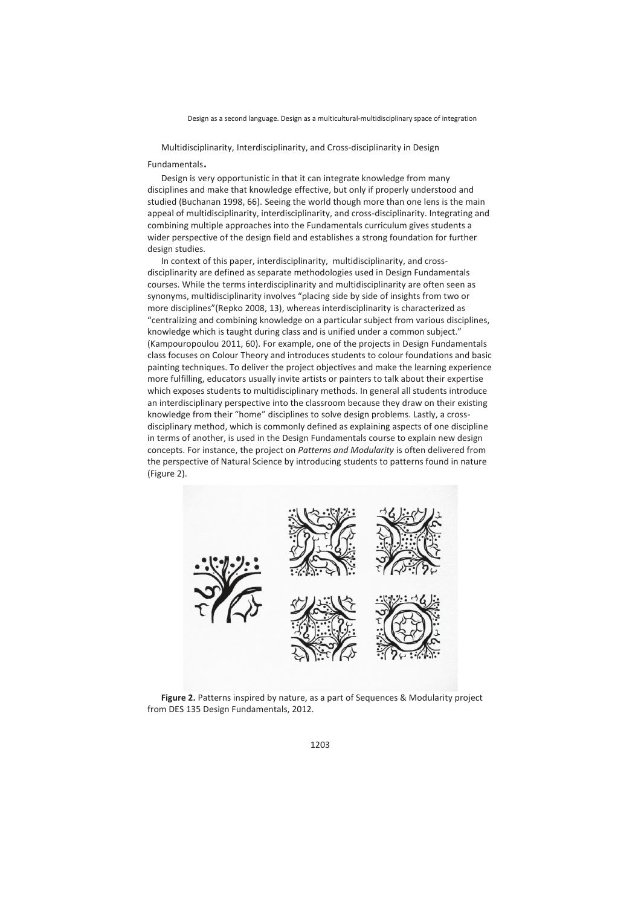Multidisciplinarity, Interdisciplinarity, and Cross-disciplinarity in Design

Fundamentals. Design is very opportunistic in that it can integrate knowledge from many disciplines and make that knowledge effective, but only if properly understood and studied (Buchanan 1998, 66). Seeing the world though more than one lens is the main appeal of multidisciplinarity, interdisciplinarity, and cross-disciplinarity. Integrating and combining multiple approaches into the Fundamentals curriculum gives students a wider perspective of the design field and establishes a strong foundation for further design studies.

In context of this paper, interdisciplinarity, multidisciplinarity, and crossdisciplinarity are defined as separate methodologies used in Design Fundamentals courses. While the terms interdisciplinarity and multidisciplinarity are often seen as synonyms, multidisciplinarity involves "placing side by side of insights from two or more disciplines"(Repko 2008, 13), whereas interdisciplinarity is characterized as "centralizing and combining knowledge on a particular subject from various disciplines, knowledge which is taught during class and is unified under a common subject." (Kampouropoulou 2011, 60). For example, one of the projects in Design Fundamentals class focuses on Colour Theory and introduces students to colour foundations and basic painting techniques. To deliver the project objectives and make the learning experience more fulfilling, educators usually invite artists or painters to talk about their expertise which exposes students to multidisciplinary methods. In general all students introduce an interdisciplinary perspective into the classroom because they draw on their existing knowledge from their "home" disciplines to solve design problems. Lastly, a crossdisciplinary method, which is commonly defined as explaining aspects of one discipline in terms of another, is used in the Design Fundamentals course to explain new design concepts. For instance, the project on *Patterns and Modularity* is often delivered from the perspective of Natural Science by introducing students to patterns found in nature (Figure 2).



**Figure 2.** Patterns inspired by nature, as a part of Sequences & Modularity project from DES 135 Design Fundamentals, 2012.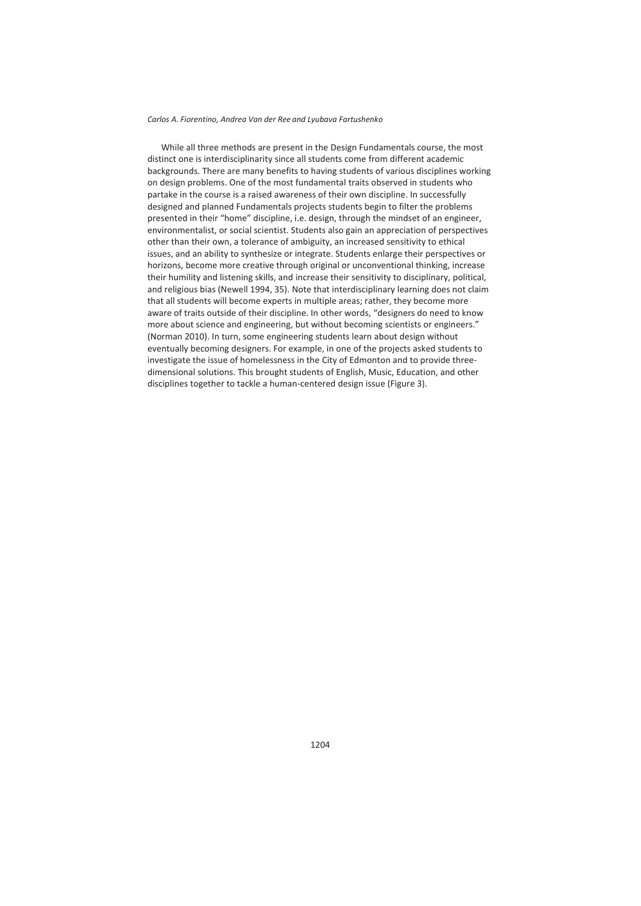While all three methods are present in the Design Fundamentals course, the most distinct one is interdisciplinarity since all students come from different academic backgrounds. There are many benefits to having students of various disciplines working on design problems. One of the most fundamental traits observed in students who partake in the course is a raised awareness of their own discipline. In successfully designed and planned Fundamentals projects students begin to filter the problems presented in their "home" discipline, i.e. design, through the mindset of an engineer, environmentalist, or social scientist. Students also gain an appreciation of perspectives other than their own, a tolerance of ambiguity, an increased sensitivity to ethical issues, and an ability to synthesize or integrate. Students enlarge their perspectives or horizons, become more creative through original or unconventional thinking, increase their humility and listening skills, and increase their sensitivity to disciplinary, political, and religious bias (Newell 1994, 35). Note that interdisciplinary learning does not claim that all students will become experts in multiple areas; rather, they become more aware of traits outside of their discipline. In other words, "designers do need to know more about science and engineering, but without becoming scientists or engineers." (Norman 2010). In turn, some engineering students learn about design without eventually becoming designers. For example, in one of the projects asked students to investigate the issue of homelessness in the City of Edmonton and to provide threedimensional solutions. This brought students of English, Music, Education, and other disciplines together to tackle a human-centered design issue (Figure 3).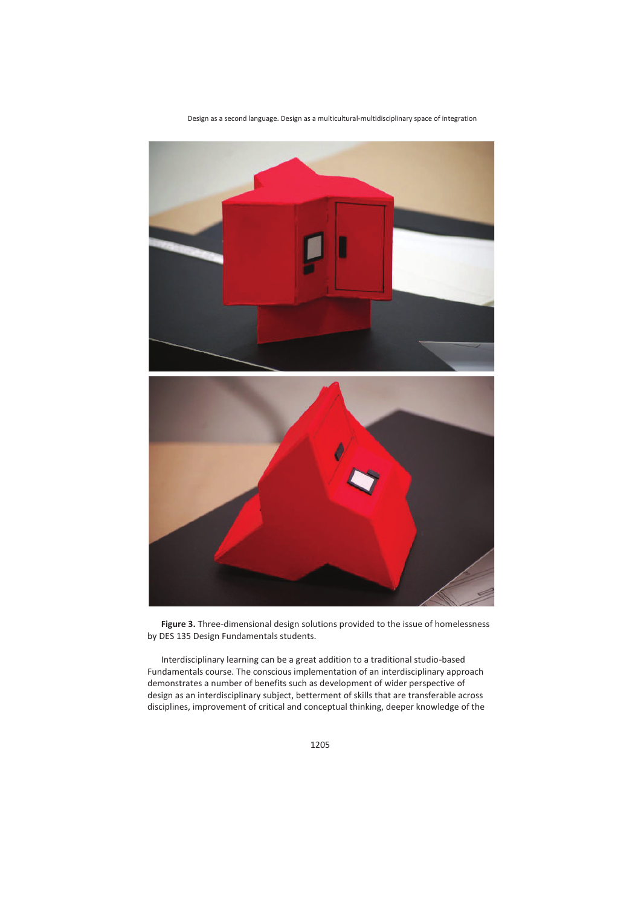

**Figure 3.** Three-dimensional design solutions provided to the issue of homelessness by DES 135 Design Fundamentals students.

Interdisciplinary learning can be a great addition to a traditional studio-based Fundamentals course. The conscious implementation of an interdisciplinary approach demonstrates a number of benefits such as development of wider perspective of design as an interdisciplinary subject, betterment of skills that are transferable across disciplines, improvement of critical and conceptual thinking, deeper knowledge of the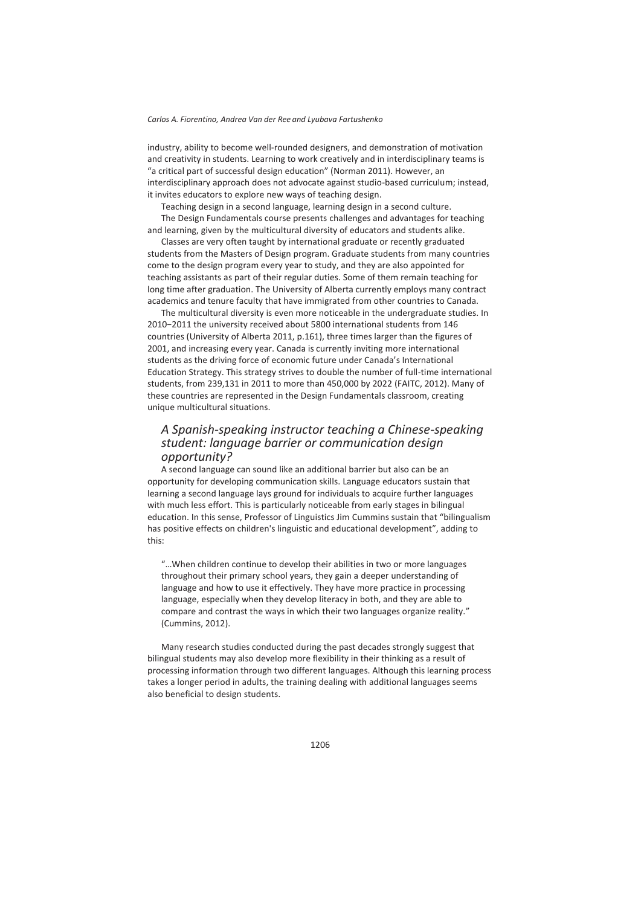industry, ability to become well-rounded designers, and demonstration of motivation and creativity in students. Learning to work creatively and in interdisciplinary teams is "a critical part of successful design education" (Norman 2011). However, an interdisciplinary approach does not advocate against studio-based curriculum; instead, it invites educators to explore new ways of teaching design.

Teaching design in a second language, learning design in a second culture. The Design Fundamentals course presents challenges and advantages for teaching and learning, given by the multicultural diversity of educators and students alike.

Classes are very often taught by international graduate or recently graduated students from the Masters of Design program. Graduate students from many countries come to the design program every year to study, and they are also appointed for teaching assistants as part of their regular duties. Some of them remain teaching for long time after graduation. The University of Alberta currently employs many contract academics and tenure faculty that have immigrated from other countries to Canada.

The multicultural diversity is even more noticeable in the undergraduate studies. In 2010−2011 the university received about 5800 international students from 146 countries (University of Alberta 2011, p.161), three times larger than the figures of 2001, and increasing every year. Canada is currently inviting more international students as the driving force of economic future under Canada's International Education Strategy. This strategy strives to double the number of full-time international students, from 239,131 in 2011 to more than 450,000 by 2022 (FAITC, 2012). Many of these countries are represented in the Design Fundamentals classroom, creating unique multicultural situations.

### *A Spanish-speaking instructor teaching a Chinese-speaking student: language barrier or communication design opportunity?*

A second language can sound like an additional barrier but also can be an opportunity for developing communication skills. Language educators sustain that learning a second language lays ground for individuals to acquire further languages with much less effort. This is particularly noticeable from early stages in bilingual education. In this sense, Professor of Linguistics Jim Cummins sustain that "bilingualism has positive effects on children's linguistic and educational development", adding to this:

"…When children continue to develop their abilities in two or more languages throughout their primary school years, they gain a deeper understanding of language and how to use it effectively. They have more practice in processing language, especially when they develop literacy in both, and they are able to compare and contrast the ways in which their two languages organize reality." (Cummins, 2012).

Many research studies conducted during the past decades strongly suggest that bilingual students may also develop more flexibility in their thinking as a result of processing information through two different languages. Although this learning process takes a longer period in adults, the training dealing with additional languages seems also beneficial to design students.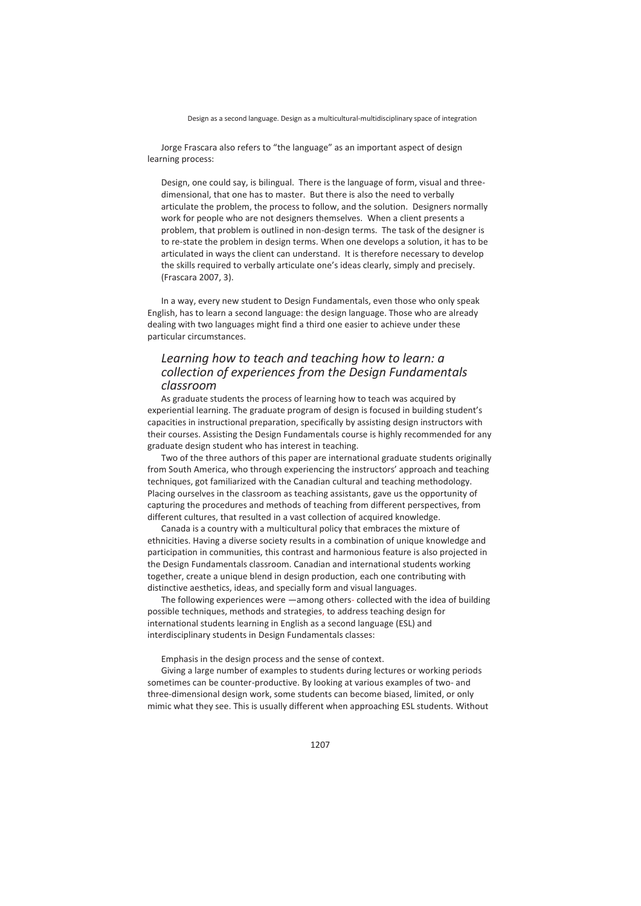Jorge Frascara also refers to "the language" as an important aspect of design learning process:

Design, one could say, is bilingual. There is the language of form, visual and threedimensional, that one has to master. But there is also the need to verbally articulate the problem, the process to follow, and the solution. Designers normally work for people who are not designers themselves. When a client presents a problem, that problem is outlined in non-design terms. The task of the designer is to re-state the problem in design terms. When one develops a solution, it has to be articulated in ways the client can understand. It is therefore necessary to develop the skills required to verbally articulate one's ideas clearly, simply and precisely. (Frascara 2007, 3).

In a way, every new student to Design Fundamentals, even those who only speak English, has to learn a second language: the design language. Those who are already dealing with two languages might find a third one easier to achieve under these particular circumstances.

### *Learning how to teach and teaching how to learn: a collection of experiences from the Design Fundamentals classroom*

As graduate students the process of learning how to teach was acquired by experiential learning. The graduate program of design is focused in building student's capacities in instructional preparation, specifically by assisting design instructors with their courses. Assisting the Design Fundamentals course is highly recommended for any graduate design student who has interest in teaching.

Two of the three authors of this paper are international graduate students originally from South America, who through experiencing the instructors' approach and teaching techniques, got familiarized with the Canadian cultural and teaching methodology. Placing ourselves in the classroom as teaching assistants, gave us the opportunity of capturing the procedures and methods of teaching from different perspectives, from different cultures, that resulted in a vast collection of acquired knowledge.

Canada is a country with a multicultural policy that embraces the mixture of ethnicities. Having a diverse society results in a combination of unique knowledge and participation in communities, this contrast and harmonious feature is also projected in the Design Fundamentals classroom. Canadian and international students working together, create a unique blend in design production, each one contributing with distinctive aesthetics, ideas, and specially form and visual languages.

The following experiences were —among others- collected with the idea of building possible techniques, methods and strategies, to address teaching design for international students learning in English as a second language (ESL) and interdisciplinary students in Design Fundamentals classes:

Emphasis in the design process and the sense of context.

Giving a large number of examples to students during lectures or working periods sometimes can be counter-productive. By looking at various examples of two- and three-dimensional design work, some students can become biased, limited, or only mimic what they see. This is usually different when approaching ESL students. Without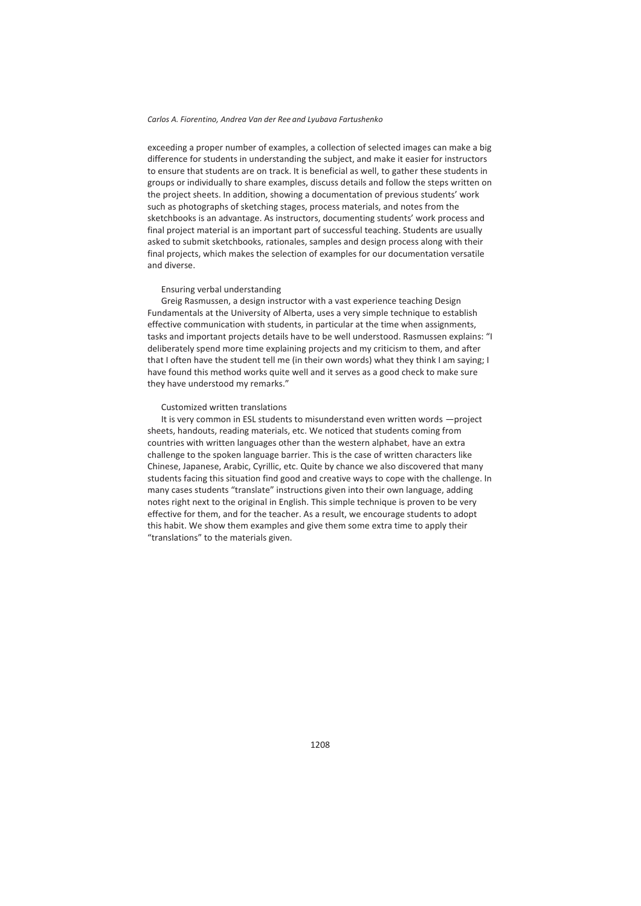exceeding a proper number of examples, a collection of selected images can make a big difference for students in understanding the subject, and make it easier for instructors to ensure that students are on track. It is beneficial as well, to gather these students in groups or individually to share examples, discuss details and follow the steps written on the project sheets. In addition, showing a documentation of previous students' work such as photographs of sketching stages, process materials, and notes from the sketchbooks is an advantage. As instructors, documenting students' work process and final project material is an important part of successful teaching. Students are usually asked to submit sketchbooks, rationales, samples and design process along with their final projects, which makes the selection of examples for our documentation versatile and diverse.

### Ensuring verbal understanding

Greig Rasmussen, a design instructor with a vast experience teaching Design Fundamentals at the University of Alberta, uses a very simple technique to establish effective communication with students, in particular at the time when assignments, tasks and important projects details have to be well understood. Rasmussen explains: "I deliberately spend more time explaining projects and my criticism to them, and after that I often have the student tell me (in their own words) what they think I am saying; I have found this method works quite well and it serves as a good check to make sure they have understood my remarks."

### Customized written translations

It is very common in ESL students to misunderstand even written words —project sheets, handouts, reading materials, etc. We noticed that students coming from countries with written languages other than the western alphabet, have an extra challenge to the spoken language barrier. This is the case of written characters like Chinese, Japanese, Arabic, Cyrillic, etc. Quite by chance we also discovered that many students facing this situation find good and creative ways to cope with the challenge. In many cases students "translate" instructions given into their own language, adding notes right next to the original in English. This simple technique is proven to be very effective for them, and for the teacher. As a result, we encourage students to adopt this habit. We show them examples and give them some extra time to apply their "translations" to the materials given.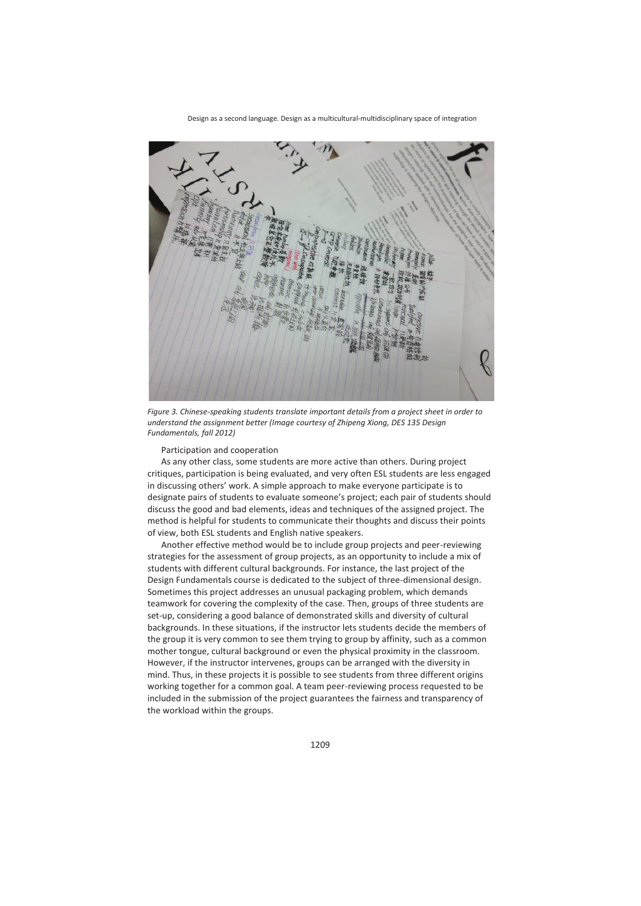

*Figure 3. Chinese-speaking students translate important details from a project sheet in order to understand the assignment better (Image courtesy of Zhipeng Xiong, DES 135 Design Fundamentals, fall 2012)* 

Participation and cooperation

As any other class, some students are more active than others. During project critiques, participation is being evaluated, and very often ESL students are less engaged in discussing others' work. A simple approach to make everyone participate is to designate pairs of students to evaluate someone's project; each pair of students should discuss the good and bad elements, ideas and techniques of the assigned project. The method is helpful for students to communicate their thoughts and discuss their points of view, both ESL students and English native speakers.

Another effective method would be to include group projects and peer-reviewing strategies for the assessment of group projects, as an opportunity to include a mix of students with different cultural backgrounds. For instance, the last project of the Design Fundamentals course is dedicated to the subject of three-dimensional design. Sometimes this project addresses an unusual packaging problem, which demands teamwork for covering the complexity of the case. Then, groups of three students are set-up, considering a good balance of demonstrated skills and diversity of cultural backgrounds. In these situations, if the instructor lets students decide the members of the group it is very common to see them trying to group by affinity, such as a common mother tongue, cultural background or even the physical proximity in the classroom. However, if the instructor intervenes, groups can be arranged with the diversity in mind. Thus, in these projects it is possible to see students from three different origins working together for a common goal. A team peer-reviewing process requested to be included in the submission of the project guarantees the fairness and transparency of the workload within the groups.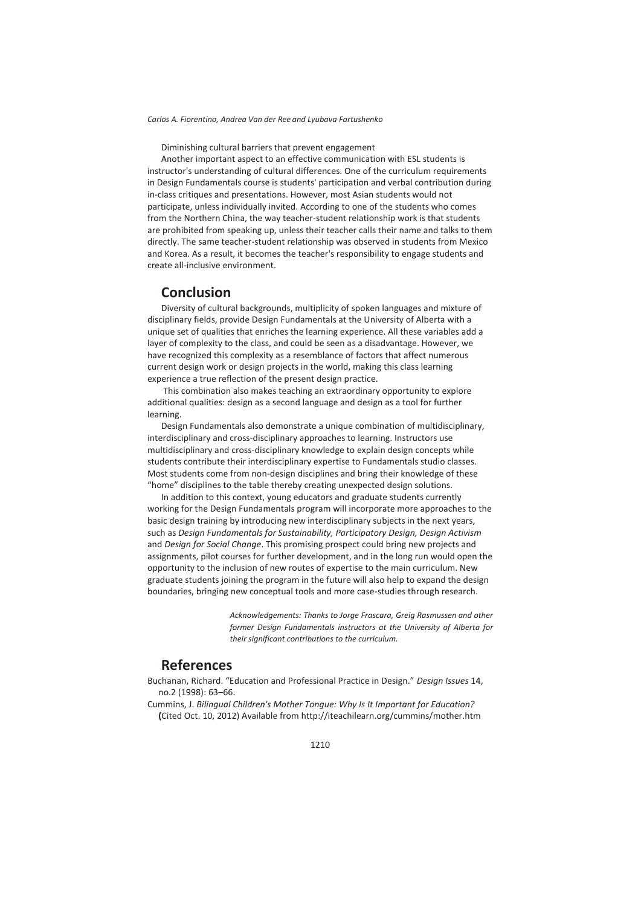Diminishing cultural barriers that prevent engagement

Another important aspect to an effective communication with ESL students is instructor's understanding of cultural differences. One of the curriculum requirements in Design Fundamentals course is students' participation and verbal contribution during in-class critiques and presentations. However, most Asian students would not participate, unless individually invited. According to one of the students who comes from the Northern China, the way teacher-student relationship work is that students are prohibited from speaking up, unless their teacher calls their name and talks to them directly. The same teacher-student relationship was observed in students from Mexico and Korea. As a result, it becomes the teacher's responsibility to engage students and create all-inclusive environment.

### **Conclusion**

Diversity of cultural backgrounds, multiplicity of spoken languages and mixture of disciplinary fields, provide Design Fundamentals at the University of Alberta with a unique set of qualities that enriches the learning experience. All these variables add a layer of complexity to the class, and could be seen as a disadvantage. However, we have recognized this complexity as a resemblance of factors that affect numerous current design work or design projects in the world, making this class learning experience a true reflection of the present design practice.

 This combination also makes teaching an extraordinary opportunity to explore additional qualities: design as a second language and design as a tool for further learning.

Design Fundamentals also demonstrate a unique combination of multidisciplinary, interdisciplinary and cross-disciplinary approaches to learning. Instructors use multidisciplinary and cross-disciplinary knowledge to explain design concepts while students contribute their interdisciplinary expertise to Fundamentals studio classes. Most students come from non-design disciplines and bring their knowledge of these "home" disciplines to the table thereby creating unexpected design solutions.

In addition to this context, young educators and graduate students currently working for the Design Fundamentals program will incorporate more approaches to the basic design training by introducing new interdisciplinary subjects in the next years, such as *Design Fundamentals for Sustainability, Participatory Design, Design Activism*  and *Design for Social Change*. This promising prospect could bring new projects and assignments, pilot courses for further development, and in the long run would open the opportunity to the inclusion of new routes of expertise to the main curriculum. New graduate students joining the program in the future will also help to expand the design boundaries, bringing new conceptual tools and more case-studies through research.

> *Acknowledgements: Thanks to Jorge Frascara, Greig Rasmussen and other former Design Fundamentals instructors at the University of Alberta for their significant contributions to the curriculum.*

## **References**

- Buchanan, Richard. "Education and Professional Practice in Design." *Design Issues* 14, no.2 (1998): 63–66.
- Cummins, J. *Bilingual Children's Mother Tongue: Why Is It Important for Education?* **(**Cited Oct. 10, 2012) Available from http://iteachilearn.org/cummins/mother.htm